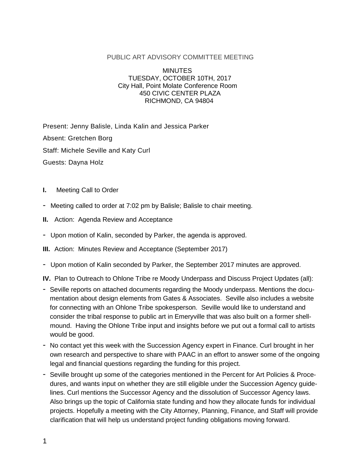## PUBLIC ART ADVISORY COMMITTEE MEETING

## MINUTES TUESDAY, OCTOBER 10TH, 2017 City Hall, Point Molate Conference Room 450 CIVIC CENTER PLAZA RICHMOND, CA 94804

Present: Jenny Balisle, Linda Kalin and Jessica Parker Absent: Gretchen Borg Staff: Michele Seville and Katy Curl Guests: Dayna Holz

- **I.** Meeting Call to Order
- Meeting called to order at 7:02 pm by Balisle; Balisle to chair meeting.
- **II.** Action: Agenda Review and Acceptance
- Upon motion of Kalin, seconded by Parker, the agenda is approved.
- **III.** Action: Minutes Review and Acceptance (September 2017)
- Upon motion of Kalin seconded by Parker, the September 2017 minutes are approved.

**IV.** Plan to Outreach to Ohlone Tribe re Moody Underpass and Discuss Project Updates (all):

- Seville reports on attached documents regarding the Moody underpass. Mentions the documentation about design elements from Gates & Associates. Seville also includes a website for connecting with an Ohlone Tribe spokesperson. Seville would like to understand and consider the tribal response to public art in Emeryville that was also built on a former shellmound. Having the Ohlone Tribe input and insights before we put out a formal call to artists would be good.
- No contact yet this week with the Succession Agency expert in Finance. Curl brought in her own research and perspective to share with PAAC in an effort to answer some of the ongoing legal and financial questions regarding the funding for this project.
- Seville brought up some of the categories mentioned in the Percent for Art Policies & Procedures, and wants input on whether they are still eligible under the Succession Agency guidelines. Curl mentions the Successor Agency and the dissolution of Successor Agency laws. Also brings up the topic of California state funding and how they allocate funds for individual projects. Hopefully a meeting with the City Attorney, Planning, Finance, and Staff will provide clarification that will help us understand project funding obligations moving forward.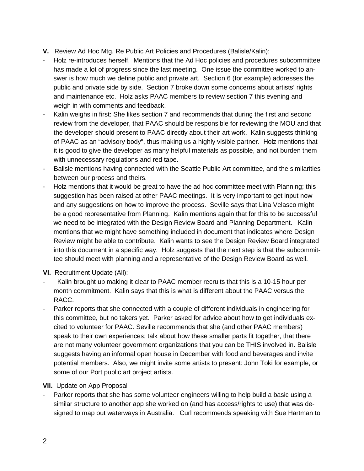- **V.** Review Ad Hoc Mtg. Re Public Art Policies and Procedures (Balisle/Kalin):
- Holz re-introduces herself. Mentions that the Ad Hoc policies and procedures subcommittee has made a lot of progress since the last meeting. One issue the committee worked to answer is how much we define public and private art. Section 6 (for example) addresses the public and private side by side. Section 7 broke down some concerns about artists' rights and maintenance etc. Holz asks PAAC members to review section 7 this evening and weigh in with comments and feedback.
- Kalin weighs in first: She likes section 7 and recommends that during the first and second review from the developer, that PAAC should be responsible for reviewing the MOU and that the developer should present to PAAC directly about their art work. Kalin suggests thinking of PAAC as an "advisory body", thus making us a highly visible partner. Holz mentions that it is good to give the developer as many helpful materials as possible, and not burden them with unnecessary regulations and red tape.
- Balisle mentions having connected with the Seattle Public Art committee, and the similarities between our process and theirs.
- Holz mentions that it would be great to have the ad hoc committee meet with Planning; this suggestion has been raised at other PAAC meetings. It is very important to get input now and any suggestions on how to improve the process. Seville says that Lina Velasco might be a good representative from Planning. Kalin mentions again that for this to be successful we need to be integrated with the Design Review Board and Planning Department. Kalin mentions that we might have something included in document that indicates where Design Review might be able to contribute. Kalin wants to see the Design Review Board integrated into this document in a specific way. Holz suggests that the next step is that the subcommittee should meet with planning and a representative of the Design Review Board as well.
- **VI.** Recruitment Update (All):
- Kalin brought up making it clear to PAAC member recruits that this is a 10-15 hour per month commitment. Kalin says that this is what is different about the PAAC versus the RACC.
- Parker reports that she connected with a couple of different individuals in engineering for this committee, but no takers yet. Parker asked for advice about how to get individuals excited to volunteer for PAAC. Seville recommends that she (and other PAAC members) speak to their own experiences; talk about how these smaller parts fit together, that there are not many volunteer government organizations that you can be THIS involved in. Balisle suggests having an informal open house in December with food and beverages and invite potential members. Also, we might invite some artists to present: John Toki for example, or some of our Port public art project artists.

## **VII.** Update on App Proposal

Parker reports that she has some volunteer engineers willing to help build a basic using a similar structure to another app she worked on (and has access/rights to use) that was designed to map out waterways in Australia. Curl recommends speaking with Sue Hartman to